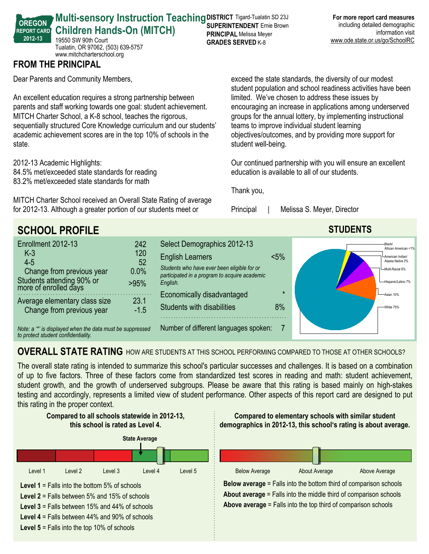| <b>Multi-sensory Instruction Teaching DISTRICT Tigard-Tualatin SD 23J</b> |                                |
|---------------------------------------------------------------------------|--------------------------------|
|                                                                           |                                |
| <b>Children Hands-On (MITCH)</b>                                          | <b>PRINCIPAL Melissa Meyer</b> |

19550 SW 90th Court Tualatin, OR 97062, (503) 639-5757 www.mitchcharterschool.org

## **FROM THE PRINCIPAL**

**OREGON REPORT CARD 201213**

Dear Parents and Community Members,

An excellent education requires a strong partnership between parents and staff working towards one goal: student achievement. MITCH Charter School, a K-8 school, teaches the rigorous, sequentially structured Core Knowledge curriculum and our students' academic achievement scores are in the top 10% of schools in the state.

2012-13 Academic Highlights:

84.5% met/exceeded state standards for reading

83.2% met/exceeded state standards for math

MITCH Charter School received an Overall State Rating of average for 2012-13. Although a greater portion of our students meet or

exceed the state standards, the diversity of our modest student population and school readiness activities have been limited. We've chosen to address these issues by encouraging an increase in applications among underserved groups for the annual lottery, by implementing instructional teams to improve individual student learning objectives/outcomes, and by providing more support for student well-being.

Our continued partnership with you will ensure an excellent education is available to all of our students.

Thank you,

**GRADES SERVED K-8** 

Principal | Melissa S. Meyer, Director



## **OVERALL STATE RATING** HOW ARE STUDENTS AT THIS SCHOOL PERFORMING COMPARED TO THOSE AT OTHER SCHOOLS?

The overall state rating is intended to summarize this school's particular successes and challenges. It is based on a combination of up to five factors. Three of these factors come from standardized test scores in reading and math: student achievement, student growth, and the growth of underserved subgroups. Please be aware that this rating is based mainly on high-stakes testing and accordingly, represents a limited view of student performance. Other aspects of this report card are designed to put this rating in the proper context.

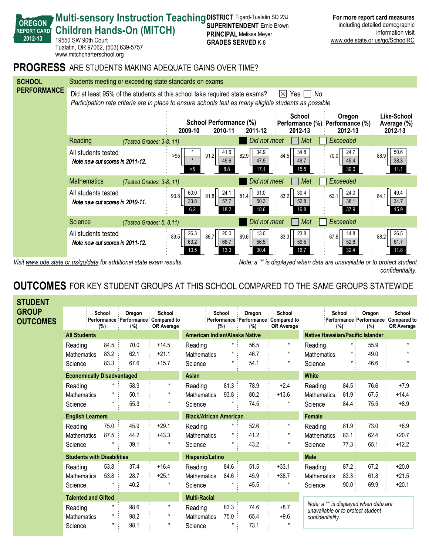

**SUPERINTENDENT** Ernie Brown **PRINCIPAL** Melissa Meyer

**Multi-sensory Instruction Teaching DISTRICT Tigard-Tualatin SD 23J** 

**Children Hands-On (MITCH)** 

19550 SW 90th Court

**OREGON REPORT CARD 201213**

Visit www.ode.state.or.us/go/data for additional state exam results. Note: a '\*' is displayed when data are unavailable or to protect student *confidentiality.*

**For more report card measures** including detailed demographic

www.ode.state.or.us/go/SchoolRC

information visit

### **OUTCOMES** FOR KEY STUDENT GROUPS AT THIS SCHOOL COMPARED TO THE SAME GROUPS STATEWIDE

| <b>STUDENT</b>                  |                                   |               |               |                                                             |                               |                      |               |                                                               |                                                                            |               |               |                                                                     |
|---------------------------------|-----------------------------------|---------------|---------------|-------------------------------------------------------------|-------------------------------|----------------------|---------------|---------------------------------------------------------------|----------------------------------------------------------------------------|---------------|---------------|---------------------------------------------------------------------|
| <b>GROUP</b><br><b>OUTCOMES</b> |                                   | School<br>(%) | Oregon<br>(%) | School<br>Performance Performance Compared to<br>OR Average |                               | <b>School</b><br>(%) | Oregon<br>(%) | School<br>Performance Performance Compared to<br>: OR Average |                                                                            | School<br>(%) | Oregon<br>(%) | School<br>:Performance Performance Compared to<br><b>OR Average</b> |
|                                 | <b>All Students</b>               |               |               |                                                             | American Indian/Alaska Native |                      |               |                                                               | <b>Native Hawaiian/Pacific Islander</b>                                    |               |               |                                                                     |
|                                 | Reading                           | 84.5          | 70.0          | $+14.5$                                                     | Reading                       | $\star$ :            | 56.5          | $\star$                                                       | Reading                                                                    |               | 55.9          | $\star$                                                             |
|                                 | <b>Mathematics</b>                | 83.2          | 62.1          | $+21.1$                                                     | Mathematics                   | $\star$              | 46.7          | $\star$                                                       | Mathematics                                                                |               | 49.0          |                                                                     |
|                                 | Science                           | 83.3          | 67.6          | $+15.7$                                                     | Science                       | $\star$              | 54.1          | $\star$                                                       | Science                                                                    |               | 46.6          |                                                                     |
|                                 | <b>Economically Disadvantaged</b> |               |               |                                                             | Asian                         |                      |               |                                                               | <b>White</b>                                                               |               |               |                                                                     |
|                                 | Reading                           |               | 58.9          | $\star$                                                     | Reading                       | 81.3:                | 78.9          | $+2.4$                                                        | Reading                                                                    | 84.5:         | 76.6          | $+7.9$                                                              |
|                                 | <b>Mathematics</b>                |               | 50.1          | $\star$                                                     | <b>Mathematics</b>            | 93.8                 | 80.2          | $+13.6$                                                       | <b>Mathematics</b>                                                         | 81.9:         | 67.5          | $+14.4$                                                             |
|                                 | Science                           |               | 55.3          | $\star$                                                     | Science                       |                      | 74.5          | $\star$                                                       | Science                                                                    | 84.4:         | 75.5          | $+8.9$                                                              |
|                                 | <b>English Learners</b>           |               |               |                                                             | <b>Black/African American</b> |                      |               |                                                               | Female                                                                     |               |               |                                                                     |
|                                 | Reading                           | 75.0          | 45.9          | $+29.1$                                                     | Reading                       | $^\star$             | 52.6          | $\star$                                                       | Reading                                                                    | 81.9:         | 73.0          | $+8.9$                                                              |
|                                 | <b>Mathematics</b>                | 87.5          | 44.2          | $+43.3$                                                     | <b>Mathematics</b>            |                      | 41.2          |                                                               | Mathematics                                                                | 83.1:         | 62.4          | $+20.7$                                                             |
|                                 | Science                           |               | 39.1          | $\star$                                                     | Science                       |                      | 43.2          | $\star$                                                       | Science                                                                    | 77.3:         | 65.1          | $+12.2$                                                             |
|                                 | <b>Students with Disabilities</b> |               |               |                                                             | <b>Hispanic/Latino</b>        |                      |               |                                                               | <b>Male</b>                                                                |               |               |                                                                     |
|                                 | Reading                           | 53.8          | 37.4          | $+16.4$                                                     | Reading                       | 84.6                 | 51.5          | $+33.1$                                                       | Reading                                                                    | 87.2          | 67.2          | $+20.0$                                                             |
|                                 | <b>Mathematics</b>                | 53.8          | 28.7          | $+25.1$                                                     | <b>Mathematics</b>            | 84.6                 | 45.9          | $+38.7$                                                       | <b>Mathematics</b>                                                         | 83.3:         | 61.8          | $+21.5$                                                             |
|                                 | Science                           |               | 40.2          | $\star$                                                     | Science                       |                      | 45.5          |                                                               | Science                                                                    | 90.0          | 69.9          | $+20.1$                                                             |
|                                 | <b>Talented and Gifted</b>        |               |               | <b>Multi-Racial</b>                                         |                               |                      |               |                                                               |                                                                            |               |               |                                                                     |
|                                 | Reading                           |               | 98.6          | $\star$                                                     | Reading                       | 83.3:                | 74.6          | $+8.7$                                                        | Note: a "" is displayed when data are<br>unavailable or to protect student |               |               |                                                                     |
|                                 | <b>Mathematics</b>                |               | 98.2          | $\star$                                                     | <b>Mathematics</b>            | 75.0                 | 65.4          | $+9.6$                                                        | confidentiality.                                                           |               |               |                                                                     |
|                                 | Science                           |               | 98.1          | $\star$                                                     | Science                       |                      | 73.1          |                                                               |                                                                            |               |               |                                                                     |